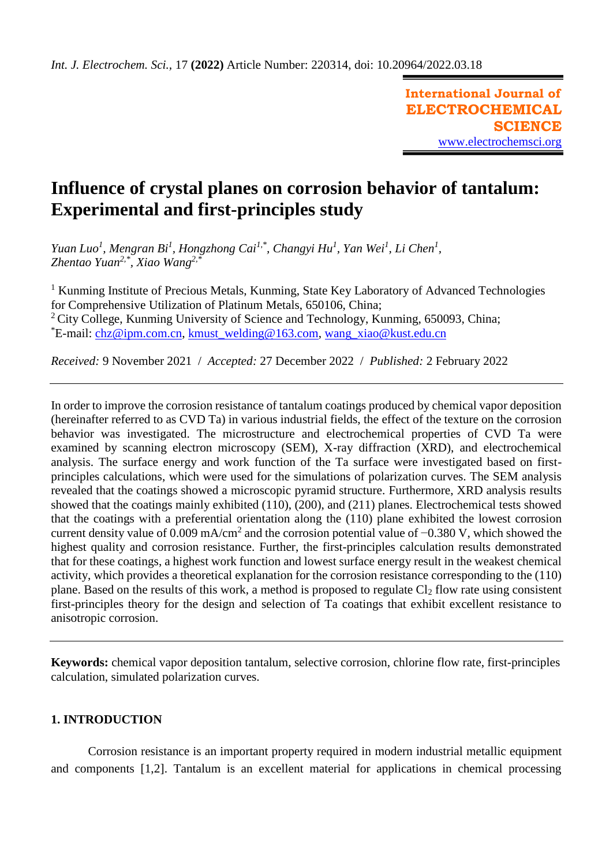**International Journal of ELECTROCHEMICAL SCIENCE** [www.electrochemsci.org](http://www.electrochemsci.org/)

# **Influence of crystal planes on corrosion behavior of tantalum: Experimental and first-principles study**

*Yuan Luo<sup>1</sup>, Mengran Bi<sup>1</sup>, Hongzhong Cai<sup>1,\*</sup>, Changyi Hu<sup>1</sup>, Yan Wei<sup>1</sup>, Li Chen<sup>1</sup>, Zhentao Yuan2,\* , Xiao Wang2,\**

<sup>1</sup> Kunming Institute of Precious Metals, Kunming, State Key Laboratory of Advanced Technologies for Comprehensive Utilization of Platinum Metals, 650106, China; <sup>2</sup> City College, Kunming University of Science and Technology, Kunming, 650093, China;  $E$ -mail: [chz@ipm.com.cn,](mailto:chz@ipm.com.cn) [kmust\\_welding@163.com,](mailto:kmust_welding@163.com) [wang\\_xiao@kust.edu.cn](mailto:wang_xiao@kust.edu.cn)

*Received:* 9 November 2021/ *Accepted:* 27 December 2022 / *Published:* 2 February 2022

In order to improve the corrosion resistance of tantalum coatings produced by chemical vapor deposition (hereinafter referred to as CVD Ta) in various industrial fields, the effect of the texture on the corrosion behavior was investigated. The microstructure and electrochemical properties of CVD Ta were examined by scanning electron microscopy (SEM), X-ray diffraction (XRD), and electrochemical analysis. The surface energy and work function of the Ta surface were investigated based on firstprinciples calculations, which were used for the simulations of polarization curves. The SEM analysis revealed that the coatings showed a microscopic pyramid structure. Furthermore, XRD analysis results showed that the coatings mainly exhibited (110), (200), and (211) planes. Electrochemical tests showed that the coatings with a preferential orientation along the (110) plane exhibited the lowest corrosion current density value of 0.009 mA/cm<sup>2</sup> and the corrosion potential value of  $-0.380$  V, which showed the highest quality and corrosion resistance. Further, the first-principles calculation results demonstrated that for these coatings, a highest work function and lowest surface energy result in the weakest chemical activity, which provides a theoretical explanation for the corrosion resistance corresponding to the (110) plane. Based on the results of this work, a method is proposed to regulate Cl<sup>2</sup> flow rate using consistent first-principles theory for the design and selection of Ta coatings that exhibit excellent resistance to anisotropic corrosion.

**Keywords:** chemical vapor deposition tantalum, selective corrosion, chlorine flow rate, first-principles calculation, simulated polarization curves.

# **1. INTRODUCTION**

Corrosion resistance is an important property required in modern industrial metallic equipment and components [1,2]. Tantalum is an excellent material for applications in chemical processing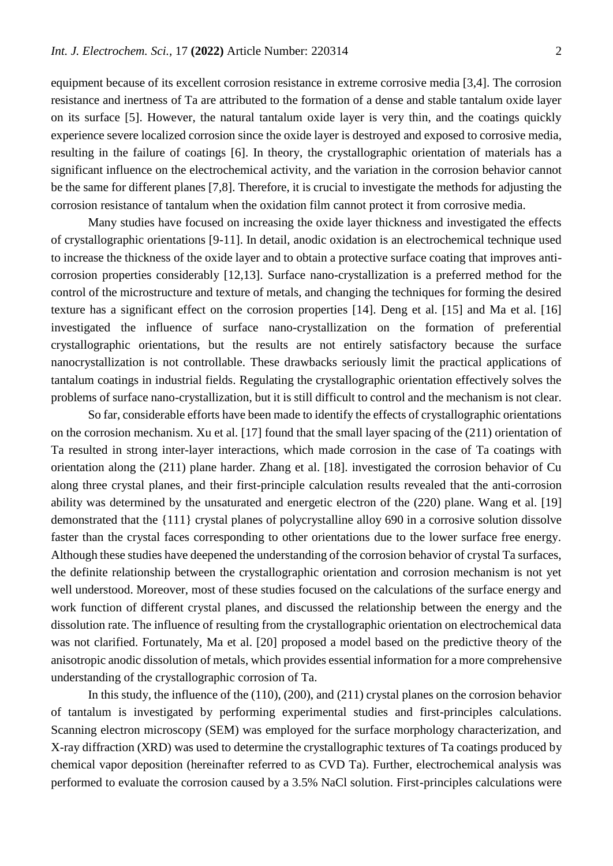equipment because of its excellent corrosion resistance in extreme corrosive media [3,4]. The corrosion resistance and inertness of Ta are attributed to the formation of a dense and stable tantalum oxide layer on its surface [5]. However, the natural tantalum oxide layer is very thin, and the coatings quickly experience severe localized corrosion since the oxide layer is destroyed and exposed to corrosive media, resulting in the failure of coatings [6]. In theory, the crystallographic orientation of materials has a significant influence on the electrochemical activity, and the variation in the corrosion behavior cannot be the same for different planes [7,8]. Therefore, it is crucial to investigate the methods for adjusting the corrosion resistance of tantalum when the oxidation film cannot protect it from corrosive media.

Many studies have focused on increasing the oxide layer thickness and investigated the effects of crystallographic orientations [9-11]. In detail, anodic oxidation is an electrochemical technique used to increase the thickness of the oxide layer and to obtain a protective surface coating that improves anticorrosion properties considerably [12,13]. Surface nano-crystallization is a preferred method for the control of the microstructure and texture of metals, and changing the techniques for forming the desired texture has a significant effect on the corrosion properties [14]. Deng et al. [15] and Ma et al. [16] investigated the influence of surface nano-crystallization on the formation of preferential crystallographic orientations, but the results are not entirely satisfactory because the surface nanocrystallization is not controllable. These drawbacks seriously limit the practical applications of tantalum coatings in industrial fields. Regulating the crystallographic orientation effectively solves the problems of surface nano-crystallization, but it is still difficult to control and the mechanism is not clear.

So far, considerable efforts have been made to identify the effects of crystallographic orientations on the corrosion mechanism. Xu et al. [17] found that the small layer spacing of the (211) orientation of Ta resulted in strong inter-layer interactions, which made corrosion in the case of Ta coatings with orientation along the (211) plane harder. Zhang et al. [18]. investigated the corrosion behavior of Cu along three crystal planes, and their first-principle calculation results revealed that the anti-corrosion ability was determined by the unsaturated and energetic electron of the (220) plane. Wang et al. [19] demonstrated that the {111} crystal planes of polycrystalline alloy 690 in a corrosive solution dissolve faster than the crystal faces corresponding to other orientations due to the lower surface free energy. Although these studies have deepened the understanding of the corrosion behavior of crystal Ta surfaces, the definite relationship between the crystallographic orientation and corrosion mechanism is not yet well understood. Moreover, most of these studies focused on the calculations of the surface energy and work function of different crystal planes, and discussed the relationship between the energy and the dissolution rate. The influence of resulting from the crystallographic orientation on electrochemical data was not clarified. Fortunately, Ma et al. [20] proposed a model based on the predictive theory of the anisotropic anodic dissolution of metals, which provides essential information for a more comprehensive understanding of the crystallographic corrosion of Ta.

In this study, the influence of the (110), (200), and (211) crystal planes on the corrosion behavior of tantalum is investigated by performing experimental studies and first-principles calculations. Scanning electron microscopy (SEM) was employed for the surface morphology characterization, and X-ray diffraction (XRD) was used to determine the crystallographic textures of Ta coatings produced by chemical vapor deposition (hereinafter referred to as CVD Ta). Further, electrochemical analysis was performed to evaluate the corrosion caused by a 3.5% NaCl solution. First-principles calculations were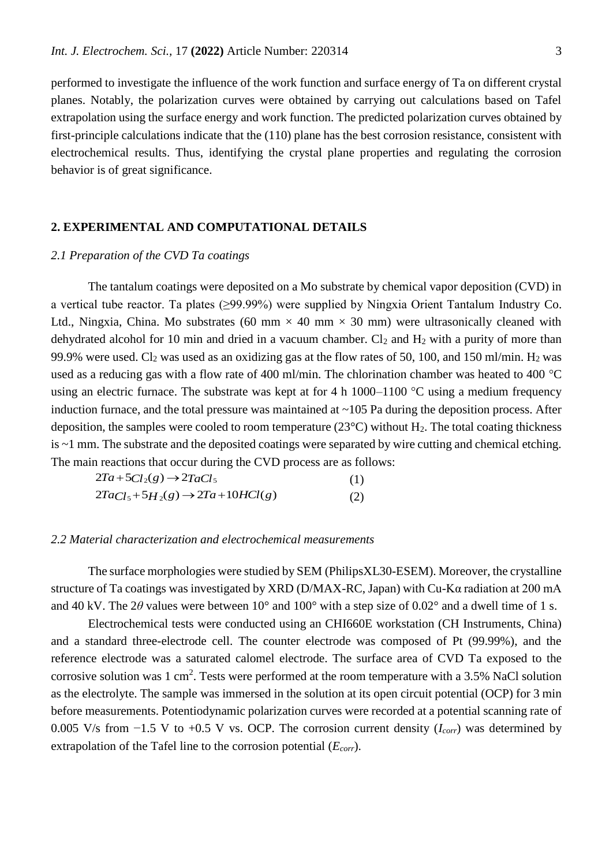performed to investigate the influence of the work function and surface energy of Ta on different crystal planes. Notably, the polarization curves were obtained by carrying out calculations based on Tafel extrapolation using the surface energy and work function. The predicted polarization curves obtained by first-principle calculations indicate that the (110) plane has the best corrosion resistance, consistent with electrochemical results. Thus, identifying the crystal plane properties and regulating the corrosion behavior is of great significance.

### **2. EXPERIMENTAL AND COMPUTATIONAL DETAILS**

# *2.1 Preparation of the CVD Ta coatings*

The tantalum coatings were deposited on a Mo substrate by chemical vapor deposition (CVD) in a vertical tube reactor. Ta plates (≥99.99%) were supplied by Ningxia Orient Tantalum Industry Co. Ltd., Ningxia, China. Mo substrates (60 mm  $\times$  40 mm  $\times$  30 mm) were ultrasonically cleaned with dehydrated alcohol for 10 min and dried in a vacuum chamber.  $Cl_2$  and  $H_2$  with a purity of more than 99.9% were used. Cl<sub>2</sub> was used as an oxidizing gas at the flow rates of 50, 100, and 150 ml/min. H<sub>2</sub> was used as a reducing gas with a flow rate of 400 ml/min. The chlorination chamber was heated to 400  $^{\circ}$ C using an electric furnace. The substrate was kept at for 4 h  $1000-1100$  °C using a medium frequency induction furnace, and the total pressure was maintained at  $\sim$ 105 Pa during the deposition process. After deposition, the samples were cooled to room temperature ( $23^{\circ}$ C) without H<sub>2</sub>. The total coating thickness is ~1 mm. The substrate and the deposited coatings were separated by wire cutting and chemical etching. The main reactions that occur during the CVD process are as follows:

$$
2Ta + 5Cl2(g) \rightarrow 2TaCl5
$$
  
\n
$$
2TacI5 + 5H2(g) \rightarrow 2Ta + 10HCl(g)
$$
 (1)  
\n(2)

#### *2.2 Material characterization and electrochemical measurements*

The surface morphologies were studied by SEM (PhilipsXL30-ESEM). Moreover, the crystalline structure of Ta coatings was investigated by XRD (D/MAX-RC, Japan) with Cu-Kα radiation at 200 mA and 40 kV. The  $2\theta$  values were between 10° and 100° with a step size of 0.02° and a dwell time of 1 s.

Electrochemical tests were conducted using an CHI660E workstation (CH Instruments, China) and a standard three-electrode cell. The counter electrode was composed of Pt (99.99%), and the reference electrode was a saturated calomel electrode. The surface area of CVD Ta exposed to the corrosive solution was  $1 \text{ cm}^2$ . Tests were performed at the room temperature with a 3.5% NaCl solution as the electrolyte. The sample was immersed in the solution at its open circuit potential (OCP) for 3 min before measurements. Potentiodynamic polarization curves were recorded at a potential scanning rate of 0.005 V/s from −1.5 V to +0.5 V vs. OCP. The corrosion current density (*Icorr*) was determined by extrapolation of the Tafel line to the corrosion potential (*Ecorr*).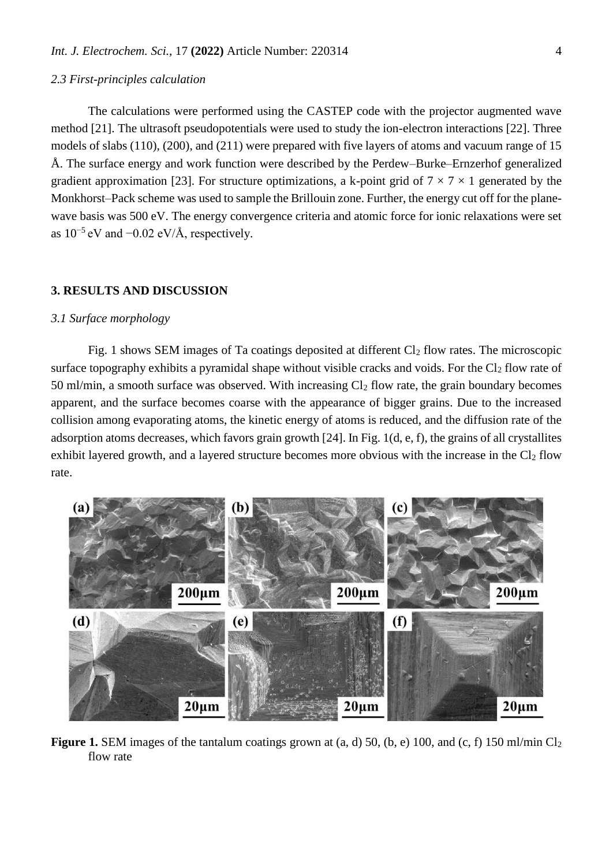### *2.3 First-principles calculation*

The calculations were performed using the CASTEP code with the projector augmented wave method [21]. The ultrasoft pseudopotentials were used to study the ion-electron interactions [22]. Three models of slabs (110), (200), and (211) were prepared with five layers of atoms and vacuum range of 15 Å. The surface energy and work function were described by the Perdew–Burke–Ernzerhof generalized gradient approximation [23]. For structure optimizations, a k-point grid of  $7 \times 7 \times 1$  generated by the Monkhorst–Pack scheme was used to sample the Brillouin zone. Further, the energy cut off for the planewave basis was 500 eV. The energy convergence criteria and atomic force for ionic relaxations were set as  $10^{-5}$  eV and  $-0.02$  eV/Å, respectively.

## **3. RESULTS AND DISCUSSION**

### *3.1 Surface morphology*

Fig. 1 shows SEM images of Ta coatings deposited at different  $Cl_2$  flow rates. The microscopic surface topography exhibits a pyramidal shape without visible cracks and voids. For the  $Cl<sub>2</sub>$  flow rate of 50 ml/min, a smooth surface was observed. With increasing  $Cl<sub>2</sub>$  flow rate, the grain boundary becomes apparent, and the surface becomes coarse with the appearance of bigger grains. Due to the increased collision among evaporating atoms, the kinetic energy of atoms is reduced, and the diffusion rate of the adsorption atoms decreases, which favors grain growth [24]. In Fig. 1(d, e, f), the grains of all crystallites exhibit layered growth, and a layered structure becomes more obvious with the increase in the  $Cl<sub>2</sub>$  flow rate.



**Figure 1.** SEM images of the tantalum coatings grown at (a, d) 50, (b, e) 100, and (c, f) 150 ml/min Cl<sub>2</sub> flow rate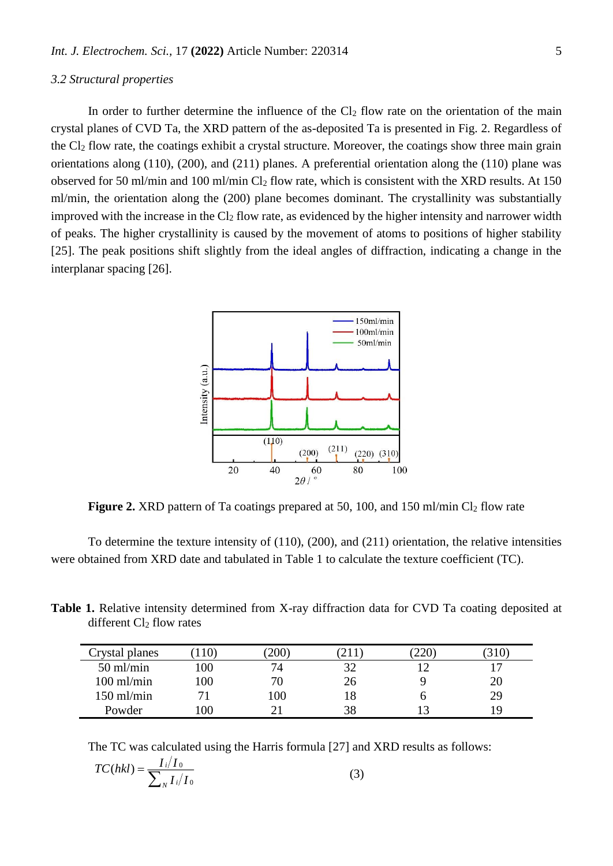#### *3.2 Structural properties*

In order to further determine the influence of the  $Cl<sub>2</sub>$  flow rate on the orientation of the main crystal planes of CVD Ta, the XRD pattern of the as-deposited Ta is presented in Fig. 2. Regardless of the Cl<sup>2</sup> flow rate, the coatings exhibit a crystal structure. Moreover, the coatings show three main grain orientations along (110), (200), and (211) planes. A preferential orientation along the (110) plane was observed for 50 ml/min and 100 ml/min Cl<sup>2</sup> flow rate, which is consistent with the XRD results. At 150 ml/min, the orientation along the (200) plane becomes dominant. The crystallinity was substantially improved with the increase in the  $Cl<sub>2</sub>$  flow rate, as evidenced by the higher intensity and narrower width of peaks. The higher crystallinity is caused by the movement of atoms to positions of higher stability [25]. The peak positions shift slightly from the ideal angles of diffraction, indicating a change in the interplanar spacing [26].



**Figure 2.** XRD pattern of Ta coatings prepared at 50, 100, and 150 ml/min Cl<sub>2</sub> flow rate

To determine the texture intensity of (110), (200), and (211) orientation, the relative intensities were obtained from XRD date and tabulated in Table 1 to calculate the texture coefficient (TC).

**Table 1.** Relative intensity determined from X-ray diffraction data for CVD Ta coating deposited at different  $Cl<sub>2</sub>$  flow rates

| Crystal planes | 110     | $^{\prime}200$ , | 21 I | 220 | 310 |
|----------------|---------|------------------|------|-----|-----|
| $50$ ml/min    | 100     | 74               | 32   |     |     |
| $100$ ml/min   | 100     | 70               | 26   |     | 20  |
| $150$ ml/min   |         | 100              | 18   |     | 29  |
| Powder         | $.00\,$ |                  | 38   |     | ١Q  |

The TC was calculated using the Harris formula [27] and XRD results as follows:

$$
TC(hkl) = \frac{I_i/I_0}{\sum_N I_i/I_0}
$$
\n(3)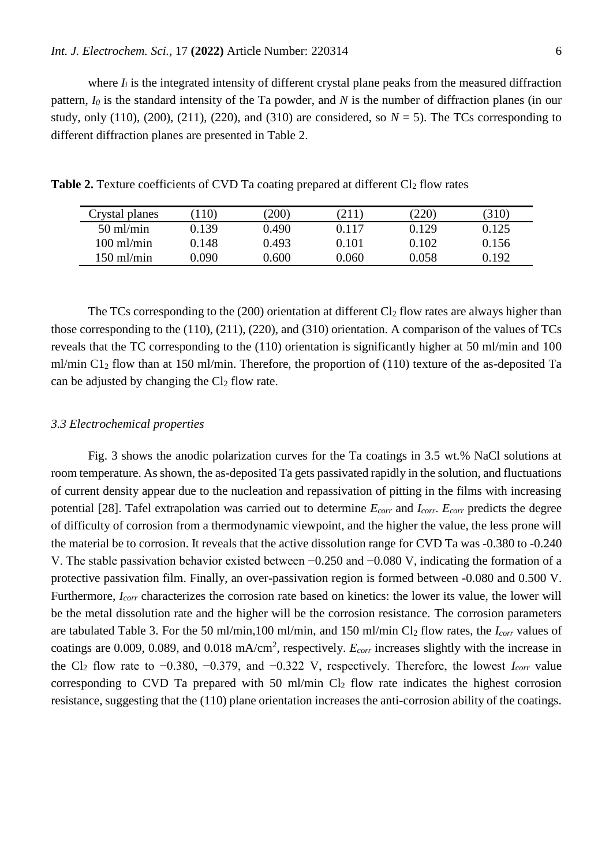where  $I_i$  is the integrated intensity of different crystal plane peaks from the measured diffraction pattern, *I<sup>0</sup>* is the standard intensity of the Ta powder, and *N* is the number of diffraction planes (in our study, only  $(110)$ ,  $(200)$ ,  $(211)$ ,  $(220)$ , and  $(310)$  are considered, so  $N = 5$ ). The TCs corresponding to different diffraction planes are presented in Table 2.

| Crystal planes       | 10)   | (200) | 211   | (220) | (310) |
|----------------------|-------|-------|-------|-------|-------|
| $50 \text{ ml/min}$  | 0.139 | 0.490 | 0.117 | 0.129 | 0.125 |
| $100 \text{ ml/min}$ | 0.148 | 0.493 | 0.101 | 0.102 | 0.156 |
| $150 \text{ ml/min}$ | 0.090 | 0.600 | 0.060 | 0.058 | ).192 |

**Table 2.** Texture coefficients of CVD Ta coating prepared at different Cl<sub>2</sub> flow rates

The TCs corresponding to the  $(200)$  orientation at different Cl<sub>2</sub> flow rates are always higher than those corresponding to the (110), (211), (220), and (310) orientation. A comparison of the values of TCs reveals that the TC corresponding to the (110) orientation is significantly higher at 50 ml/min and 100 ml/min C1<sup>2</sup> flow than at 150 ml/min. Therefore, the proportion of (110) texture of the as-deposited Ta can be adjusted by changing the  $Cl<sub>2</sub>$  flow rate.

### *3.3 Electrochemical properties*

Fig. 3 shows the anodic polarization curves for the Ta coatings in 3.5 wt.% NaCl solutions at room temperature. As shown, the as-deposited Ta gets passivated rapidly in the solution, and fluctuations of current density appear due to the nucleation and repassivation of pitting in the films with increasing potential [28]. Tafel extrapolation was carried out to determine *Ecorr* and *Icorr*. *Ecorr* predicts the degree of difficulty of corrosion from a thermodynamic viewpoint, and the higher the value, the less prone will the material be to corrosion. It reveals that the active dissolution range for CVD Ta was -0.380 to -0.240 V. The stable passivation behavior existed between −0.250 and −0.080 V, indicating the formation of a protective passivation film. Finally, an over-passivation region is formed between -0.080 and 0.500 V. Furthermore, *Icorr* characterizes the corrosion rate based on kinetics: the lower its value, the lower will be the metal dissolution rate and the higher will be the corrosion resistance. The corrosion parameters are tabulated Table 3. For the 50 ml/min,100 ml/min, and 150 ml/min Cl<sup>2</sup> flow rates, the *Icorr* values of coatings are 0.009, 0.089, and 0.018 mA/cm<sup>2</sup>, respectively.  $E_{corr}$  increases slightly with the increase in the Cl<sup>2</sup> flow rate to −0.380, −0.379, and −0.322 V, respectively. Therefore, the lowest *Icorr* value corresponding to CVD Ta prepared with 50 ml/min  $Cl<sub>2</sub>$  flow rate indicates the highest corrosion resistance, suggesting that the (110) plane orientation increases the anti-corrosion ability of the coatings.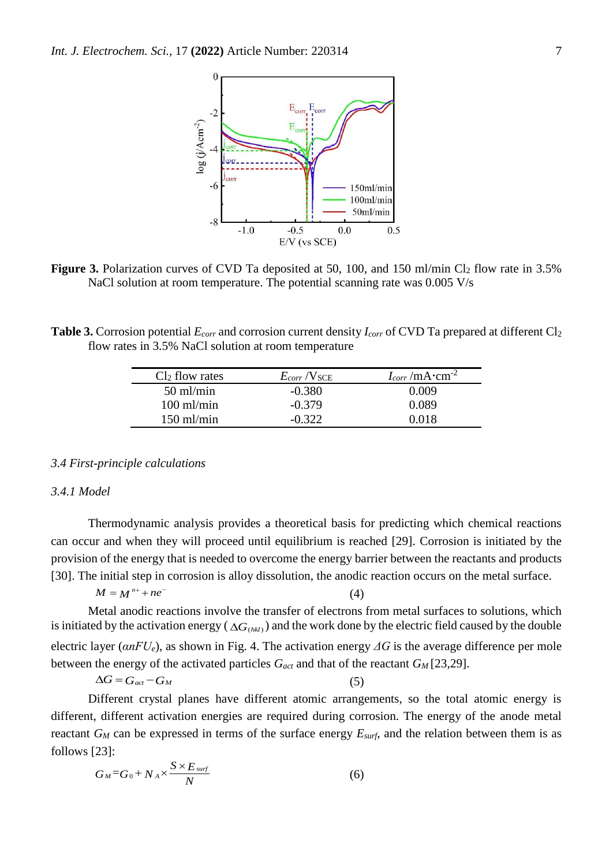

**Figure 3.** Polarization curves of CVD Ta deposited at 50, 100, and 150 ml/min Cl<sub>2</sub> flow rate in 3.5% NaCl solution at room temperature. The potential scanning rate was 0.005 V/s

**Table 3.** Corrosion potential *Ecorr* and corrosion current density *Icorr* of CVD Ta prepared at different Cl<sup>2</sup> flow rates in 3.5% NaCl solution at room temperature

| $Cl2$ flow rates     | $E_{corr}$ /V <sub>SCE</sub> | $I_{corr}/mA \cdot cm^{-2}$ |
|----------------------|------------------------------|-----------------------------|
| $50 \text{ ml/min}$  | $-0.380$                     | 0.009                       |
| $100$ ml/min         | $-0.379$                     | 0.089                       |
| $150 \text{ ml/min}$ | $-0.322$                     | 0.018                       |

#### *3.4 First-principle calculations*

# *3.4.1 Model*

Thermodynamic analysis provides a theoretical basis for predicting which chemical reactions can occur and when they will proceed until equilibrium is reached [29]. Corrosion is initiated by the provision of the energy that is needed to overcome the energy barrier between the reactants and products [30]. The initial step in corrosion is alloy dissolution, the anodic reaction occurs on the metal surface.

$$
M = M^{n+} + ne^{-}
$$
 (4)

Metal anodic reactions involve the transfer of electrons from metal surfaces to solutions, which is initiated by the activation energy ( $\Delta G_{(hkl)}$ ) and the work done by the electric field caused by the double electric layer (*αnFUe*), as shown in Fig. 4. The activation energy *ΔG* is the average difference per mole between the energy of the activated particles *Gact* and that of the reactant *G<sup>M</sup>* [23,29].

$$
\Delta G = G_{act} - G_M \tag{5}
$$

Different crystal planes have different atomic arrangements, so the total atomic energy is different, different activation energies are required during corrosion. The energy of the anode metal reactant *G<sup>M</sup>* can be expressed in terms of the surface energy *Esurf*, and the relation between them is as follows [23]:

$$
G_M = G_0 + N_A \times \frac{S \times E_{\text{surf}}}{N} \tag{6}
$$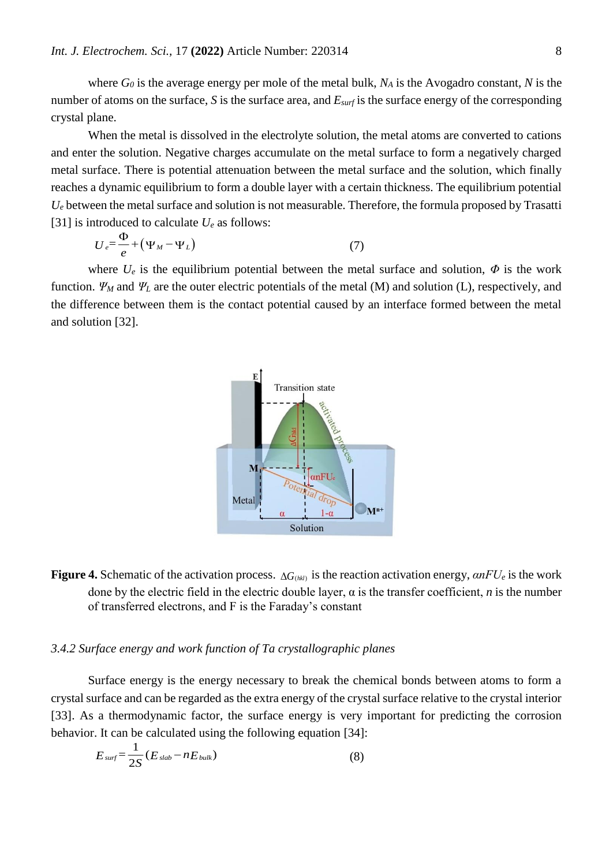where *G<sup>0</sup>* is the average energy per mole of the metal bulk, *N<sup>A</sup>* is the Avogadro constant, *N* is the number of atoms on the surface, *S* is the surface area, and *Esurf* is the surface energy of the corresponding crystal plane.

When the metal is dissolved in the electrolyte solution, the metal atoms are converted to cations and enter the solution. Negative charges accumulate on the metal surface to form a negatively charged metal surface. There is potential attenuation between the metal surface and the solution, which finally reaches a dynamic equilibrium to form a double layer with a certain thickness. The equilibrium potential  $U_e$  between the metal surface and solution is not measurable. Therefore, the formula proposed by Trasatti [31] is introduced to calculate  $U_e$  as follows:

$$
U_e = \frac{\Phi}{e} + (\Psi_M - \Psi_L) \tag{7}
$$

where  $U_e$  is the equilibrium potential between the metal surface and solution,  $\Phi$  is the work function.  $\Psi_M$  and  $\Psi_L$  are the outer electric potentials of the metal (M) and solution (L), respectively, and the difference between them is the contact potential caused by an interface formed between the metal and solution [32].



**Figure 4.** Schematic of the activation process.  $\Delta G_{(hkl)}$  is the reaction activation energy,  $\alpha nFU_e$  is the work done by the electric field in the electric double layer,  $\alpha$  is the transfer coefficient, *n* is the number of transferred electrons, and F is the Faraday's constant

# *3.4.2 Surface energy and work function of Ta crystallographic planes*

Surface energy is the energy necessary to break the chemical bonds between atoms to form a crystal surface and can be regarded as the extra energy of the crystal surface relative to the crystal interior [33]. As a thermodynamic factor, the surface energy is very important for predicting the corrosion behavior. It can be calculated using the following equation [34]:

$$
E_{\textit{surf}} = \frac{1}{2S} (E_{\textit{slab}} - nE_{\textit{bulk}}) \tag{8}
$$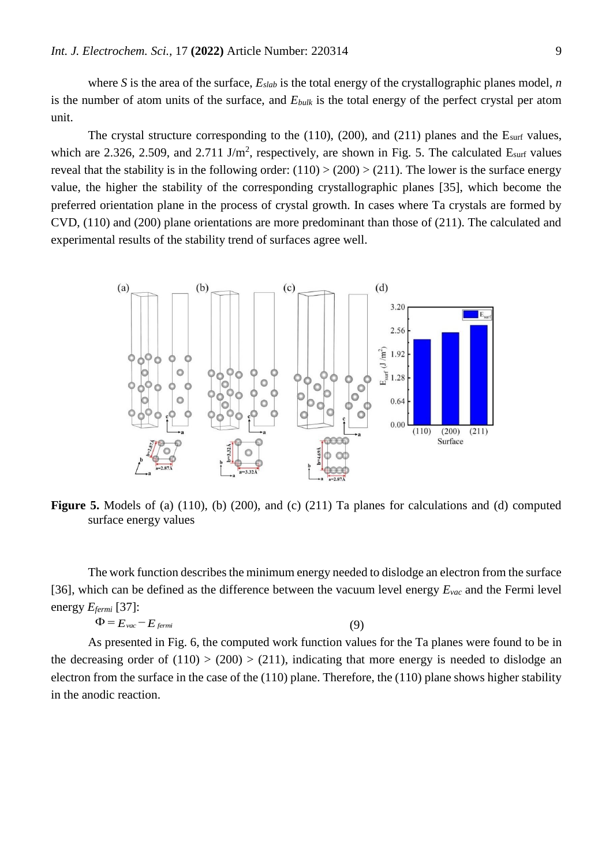where *S* is the area of the surface,  $E_{slab}$  is the total energy of the crystallographic planes model, *n* is the number of atom units of the surface, and *Ebulk* is the total energy of the perfect crystal per atom unit.

The crystal structure corresponding to the  $(110)$ ,  $(200)$ , and  $(211)$  planes and the E<sub>surf</sub> values, which are 2.326, 2.509, and 2.711 J/m<sup>2</sup>, respectively, are shown in Fig. 5. The calculated  $E_{\text{surf}}$  values reveal that the stability is in the following order:  $(110)$  >  $(200)$  >  $(211)$ . The lower is the surface energy value, the higher the stability of the corresponding crystallographic planes [35], which become the preferred orientation plane in the process of crystal growth. In cases where Ta crystals are formed by CVD, (110) and (200) plane orientations are more predominant than those of (211). The calculated and experimental results of the stability trend of surfaces agree well.



**Figure 5.** Models of (a) (110), (b) (200), and (c) (211) Ta planes for calculations and (d) computed surface energy values

The work function describes the minimum energy needed to dislodge an electron from the surface [36], which can be defined as the difference between the vacuum level energy *Evac* and the Fermi level energy *Efermi* [37]:

$$
\Phi = E_{\text{vac}} - E_{\text{fermi}} \tag{9}
$$

As presented in Fig. 6, the computed work function values for the Ta planes were found to be in the decreasing order of  $(110) > (200) > (211)$ , indicating that more energy is needed to dislodge an electron from the surface in the case of the (110) plane. Therefore, the (110) plane shows higher stability in the anodic reaction.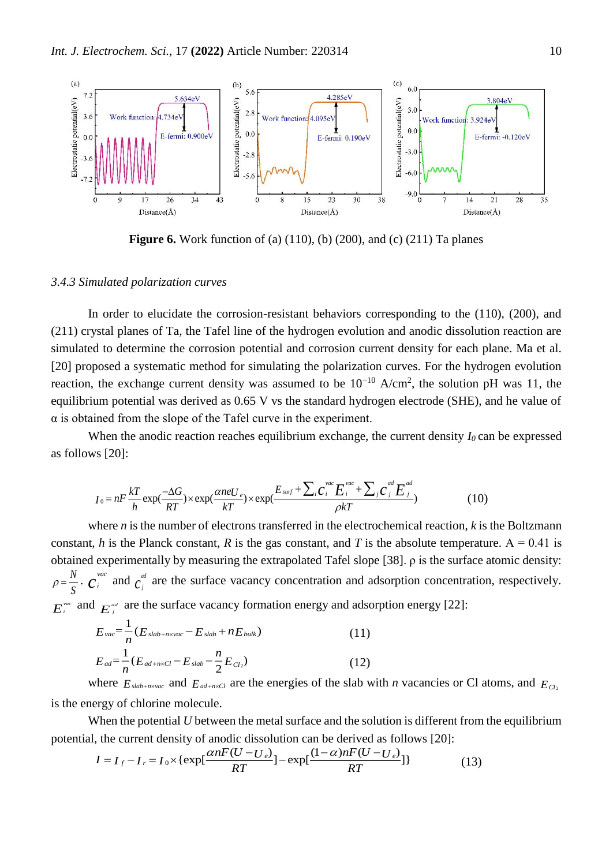

**Figure 6.** Work function of (a) (110), (b) (200), and (c) (211) Ta planes

## *3.4.3 Simulated polarization curves*

In order to elucidate the corrosion-resistant behaviors corresponding to the (110), (200), and (211) crystal planes of Ta, the Tafel line of the hydrogen evolution and anodic dissolution reaction are simulated to determine the corrosion potential and corrosion current density for each plane. Ma et al. [20] proposed a systematic method for simulating the polarization curves. For the hydrogen evolution reaction, the exchange current density was assumed to be  $10^{-10}$  A/cm<sup>2</sup>, the solution pH was 11, the equilibrium potential was derived as 0.65 V vs the standard hydrogen electrode (SHE), and he value of  $\alpha$  is obtained from the slope of the Tafel curve in the experiment.

When the anodic reaction reaches equilibrium exchange, the current density  $I_0$  can be expressed as follows [20]:

$$
I_0 = nF \frac{kT}{h} \exp(\frac{-\Delta G}{RT}) \times \exp(\frac{\alpha n e U_e}{kT}) \times \exp(\frac{E_{surf} + \sum_i C_i^{vac} E_i^{vac} + \sum_j C_j^{ad} E_j^{ad}}{\rho kT})
$$
(10)

where *n* is the number of electrons transferred in the electrochemical reaction, *k* is the Boltzmann constant, *h* is the Planck constant, *R* is the gas constant, and *T* is the absolute temperature.  $A = 0.41$  is obtained experimentally by measuring the extrapolated Tafel slope [38].  $\rho$  is the surface atomic density:  $\frac{N}{C}$ .  $C_i^{\text{vac}}$  and  $C_i^{\text{ad}}$  are the surface vacancy concentration and adsorption concentration, respectively.  $E_i^{vac}$  and  $E_j^{ad}$  are the surface vacancy formation energy and adsorption energy [22]: *S*  $\rho = \frac{N}{s} \cdot c_i^{vac}$  and  $c_j^{ud}$ 

$$
E_{\text{vac}} = \frac{1}{n} (E_{\text{slab+n} \times \text{vac}} - E_{\text{slab}} + n E_{\text{bulk}})
$$
(11)  

$$
E_{\text{ad}} = \frac{1}{n} (E_{\text{ad+n} \times \text{Cl}} - E_{\text{slab}} - \frac{n}{2} E_{\text{Cl}_2})
$$
(12)

where 
$$
E_{slab+nxvac}
$$
 and  $E_{ad+nxCl}$  are the energies of the slab with *n* vacancies or Cl atoms, and  $E_{Cl_2}$  is the energy of chlorine molecule.

When the potential *U* between the metal surface and the solution is different from the equilibrium potential, the current density of anodic dissolution can be derived as follows [20]:

$$
I = I_f - I_r = I_0 \times \{ \exp[\frac{\alpha n F(U - U_e)}{RT}] - \exp[\frac{(1 - \alpha)n F(U - U_e)}{RT}]\}
$$
(13)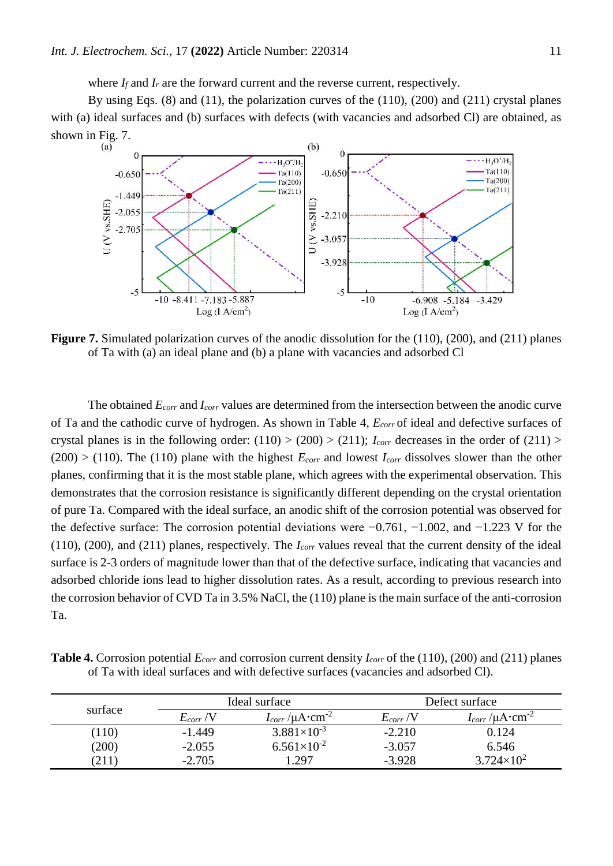where  $I_f$  and  $I_r$  are the forward current and the reverse current, respectively.

By using Eqs. (8) and (11), the polarization curves of the (110), (200) and (211) crystal planes with (a) ideal surfaces and (b) surfaces with defects (with vacancies and adsorbed Cl) are obtained, as shown in Fig. 7.



**Figure 7.** Simulated polarization curves of the anodic dissolution for the (110), (200), and (211) planes of Ta with (a) an ideal plane and (b) a plane with vacancies and adsorbed Cl

The obtained *Ecorr* and *Icorr* values are determined from the intersection between the anodic curve of Ta and the cathodic curve of hydrogen. As shown in Table 4, *Ecorr* of ideal and defective surfaces of crystal planes is in the following order:  $(110) > (200) > (211)$ ; *I<sub>corr</sub>* decreases in the order of  $(211) >$  $(200)$  > (110). The (110) plane with the highest  $E_{corr}$  and lowest  $I_{corr}$  dissolves slower than the other planes, confirming that it is the most stable plane, which agrees with the experimental observation. This demonstrates that the corrosion resistance is significantly different depending on the crystal orientation of pure Ta. Compared with the ideal surface, an anodic shift of the corrosion potential was observed for the defective surface: The corrosion potential deviations were −0.761, −1.002, and −1.223 V for the (110), (200), and (211) planes, respectively. The *Icorr* values reveal that the current density of the ideal surface is 2-3 orders of magnitude lower than that of the defective surface, indicating that vacancies and adsorbed chloride ions lead to higher dissolution rates. As a result, according to previous research into the corrosion behavior of CVD Ta in 3.5% NaCl, the (110) plane is the main surface of the anti-corrosion Ta.

**Table 4.** Corrosion potential *Ecorr* and corrosion current density *Icorr* of the (110), (200) and (211) planes of Ta with ideal surfaces and with defective surfaces (vacancies and adsorbed Cl).

| surface | Ideal surface |                                       | Defect surface |                                    |  |
|---------|---------------|---------------------------------------|----------------|------------------------------------|--|
|         | $E_{corr}$ /V | $I_{corr}$ / $\mu$ A·cm <sup>-2</sup> | $E_{corr}$ /V  | $I_{corr}/\mu A$ ·cm <sup>-2</sup> |  |
| (110)   | $-1.449$      | $3.881\times10^{-3}$                  | $-2.210$       | 0.124                              |  |
| (200)   | $-2.055$      | $6.561\times10^{-2}$                  | $-3.057$       | 6.546                              |  |
| 211     | $-2.705$      | .297                                  | $-3.928$       | $3.724 \times 10^{2}$              |  |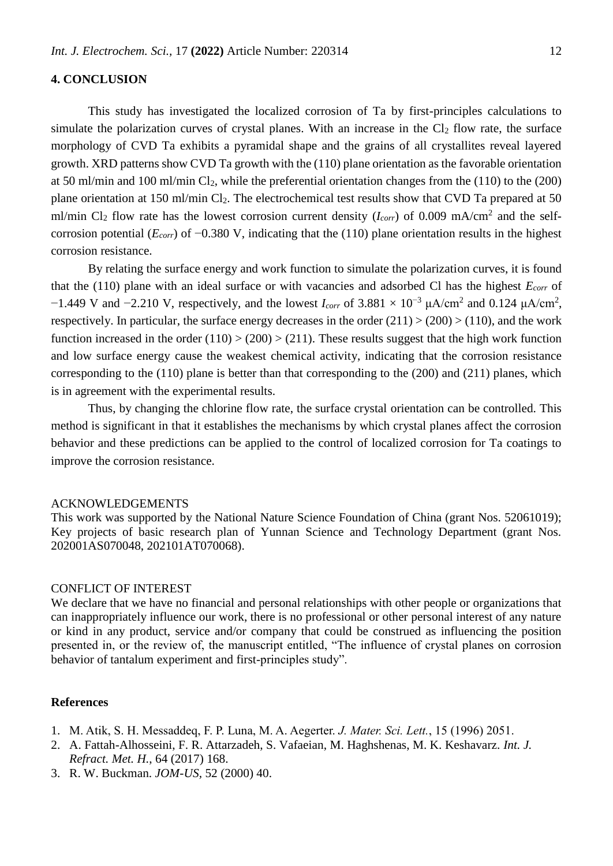# **4. CONCLUSION**

This study has investigated the localized corrosion of Ta by first-principles calculations to simulate the polarization curves of crystal planes. With an increase in the  $Cl<sub>2</sub>$  flow rate, the surface morphology of CVD Ta exhibits a pyramidal shape and the grains of all crystallites reveal layered growth. XRD patterns show CVD Ta growth with the (110) plane orientation as the favorable orientation at 50 ml/min and 100 ml/min Cl2, while the preferential orientation changes from the (110) to the (200) plane orientation at 150 ml/min Cl<sub>2</sub>. The electrochemical test results show that CVD Ta prepared at 50 ml/min Cl<sub>2</sub> flow rate has the lowest corrosion current density  $(I_{corr})$  of 0.009 mA/cm<sup>2</sup> and the selfcorrosion potential (*Ecorr*) of −0.380 V, indicating that the (110) plane orientation results in the highest corrosion resistance.

By relating the surface energy and work function to simulate the polarization curves, it is found that the (110) plane with an ideal surface or with vacancies and adsorbed Cl has the highest *Ecorr* of  $-1.449$  V and  $-2.210$  V, respectively, and the lowest *I<sub>corr</sub>* of 3.881 × 10<sup>-3</sup> μA/cm<sup>2</sup> and 0.124 μA/cm<sup>2</sup>, respectively. In particular, the surface energy decreases in the order  $(211) > (200) > (110)$ , and the work function increased in the order  $(110) > (200) > (211)$ . These results suggest that the high work function and low surface energy cause the weakest chemical activity, indicating that the corrosion resistance corresponding to the (110) plane is better than that corresponding to the (200) and (211) planes, which is in agreement with the experimental results.

Thus, by changing the chlorine flow rate, the surface crystal orientation can be controlled. This method is significant in that it establishes the mechanisms by which crystal planes affect the corrosion behavior and these predictions can be applied to the control of localized corrosion for Ta coatings to improve the corrosion resistance.

#### ACKNOWLEDGEMENTS

This work was supported by the National Nature Science Foundation of China (grant Nos. 52061019); Key projects of basic research plan of Yunnan Science and Technology Department (grant Nos. 202001AS070048, 202101AT070068).

#### CONFLICT OF INTEREST

We declare that we have no financial and personal relationships with other people or organizations that can inappropriately influence our work, there is no professional or other personal interest of any nature or kind in any product, service and/or company that could be construed as influencing the position presented in, or the review of, the manuscript entitled, "The influence of crystal planes on corrosion behavior of tantalum experiment and first-principles study".

## **References**

- 1. M. Atik, S. H. Messaddeq, F. P. Luna, M. A. Aegerter. *J. Mater. Sci. Lett.*, 15 (1996) 2051.
- 2. A. Fattah-Alhosseini, F. R. Attarzadeh, S. Vafaeian, M. Haghshenas, M. K. Keshavarz. *Int. J. Refract. Met. H.*, 64 (2017) 168.
- 3. R. W. Buckman. *JOM-US,* 52 (2000) 40.